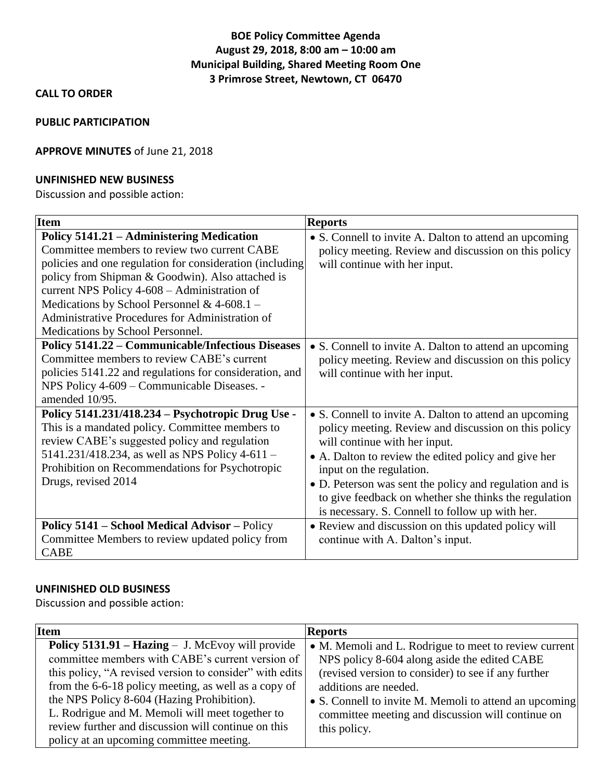# **BOE Policy Committee Agenda August 29, 2018, 8:00 am – 10:00 am Municipal Building, Shared Meeting Room One 3 Primrose Street, Newtown, CT 06470**

# **CALL TO ORDER**

### **PUBLIC PARTICIPATION**

## **APPROVE MINUTES** of June 21, 2018

### **UNFINISHED NEW BUSINESS**

Discussion and possible action:

| <b>Item</b>                                                                                                                                                                                                                                                                                                                                                                                       | <b>Reports</b>                                                                                                                                                                                                                                                                                                                                                                                             |
|---------------------------------------------------------------------------------------------------------------------------------------------------------------------------------------------------------------------------------------------------------------------------------------------------------------------------------------------------------------------------------------------------|------------------------------------------------------------------------------------------------------------------------------------------------------------------------------------------------------------------------------------------------------------------------------------------------------------------------------------------------------------------------------------------------------------|
| Policy 5141.21 – Administering Medication<br>Committee members to review two current CABE<br>policies and one regulation for consideration (including<br>policy from Shipman & Goodwin). Also attached is<br>current NPS Policy 4-608 - Administration of<br>Medications by School Personnel & $4-608.1$ –<br>Administrative Procedures for Administration of<br>Medications by School Personnel. | • S. Connell to invite A. Dalton to attend an upcoming<br>policy meeting. Review and discussion on this policy<br>will continue with her input.                                                                                                                                                                                                                                                            |
| <b>Policy 5141.22 – Communicable/Infectious Diseases</b><br>Committee members to review CABE's current<br>policies 5141.22 and regulations for consideration, and<br>NPS Policy 4-609 - Communicable Diseases. -<br>amended 10/95.                                                                                                                                                                | • S. Connell to invite A. Dalton to attend an upcoming<br>policy meeting. Review and discussion on this policy<br>will continue with her input.                                                                                                                                                                                                                                                            |
| Policy 5141.231/418.234 – Psychotropic Drug Use -<br>This is a mandated policy. Committee members to<br>review CABE's suggested policy and regulation<br>5141.231/418.234, as well as NPS Policy 4-611 -<br>Prohibition on Recommendations for Psychotropic<br>Drugs, revised 2014                                                                                                                | • S. Connell to invite A. Dalton to attend an upcoming<br>policy meeting. Review and discussion on this policy<br>will continue with her input.<br>• A. Dalton to review the edited policy and give her<br>input on the regulation.<br>• D. Peterson was sent the policy and regulation and is<br>to give feedback on whether she thinks the regulation<br>is necessary. S. Connell to follow up with her. |
| Policy 5141 - School Medical Advisor - Policy<br>Committee Members to review updated policy from<br><b>CABE</b>                                                                                                                                                                                                                                                                                   | • Review and discussion on this updated policy will<br>continue with A. Dalton's input.                                                                                                                                                                                                                                                                                                                    |

## **UNFINISHED OLD BUSINESS**

Discussion and possible action:

| <b>Item</b>                                                                                                                                                                                                                                                                                                                                                                                                                        | <b>Reports</b>                                                                                                                                                                                                                                                                                                       |
|------------------------------------------------------------------------------------------------------------------------------------------------------------------------------------------------------------------------------------------------------------------------------------------------------------------------------------------------------------------------------------------------------------------------------------|----------------------------------------------------------------------------------------------------------------------------------------------------------------------------------------------------------------------------------------------------------------------------------------------------------------------|
| <b>Policy 5131.91 – Hazing – J. McEvoy will provide</b><br>committee members with CABE's current version of<br>this policy, "A revised version to consider" with edits<br>from the 6-6-18 policy meeting, as well as a copy of<br>the NPS Policy 8-604 (Hazing Prohibition).<br>L. Rodrigue and M. Memoli will meet together to<br>review further and discussion will continue on this<br>policy at an upcoming committee meeting. | • M. Memoli and L. Rodrigue to meet to review current<br>NPS policy 8-604 along aside the edited CABE<br>(revised version to consider) to see if any further<br>additions are needed.<br>• S. Connell to invite M. Memoli to attend an upcoming<br>committee meeting and discussion will continue on<br>this policy. |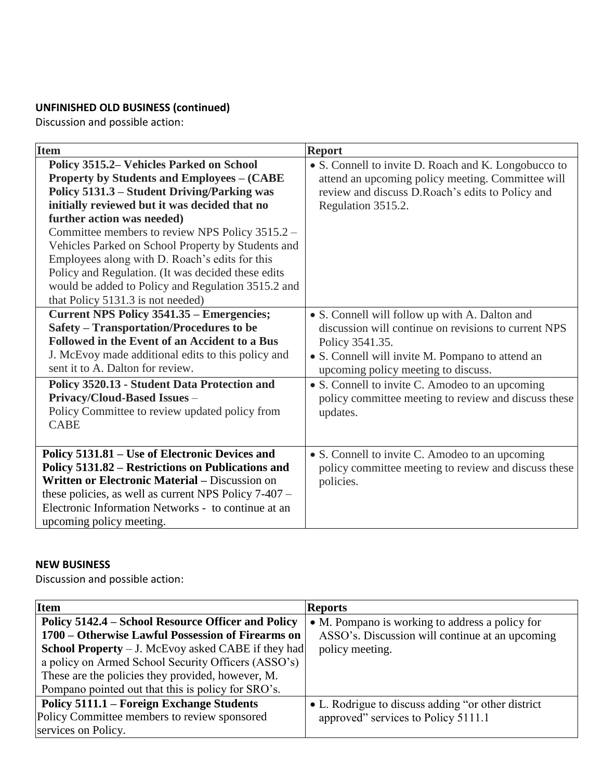# **UNFINISHED OLD BUSINESS (continued)**

Discussion and possible action:

| <b>Item</b>                                                                                                                                                                                                                                                                                                                                                                                                                                                                                                                             | <b>Report</b>                                                                                                                                                                                                                                                                                                                               |
|-----------------------------------------------------------------------------------------------------------------------------------------------------------------------------------------------------------------------------------------------------------------------------------------------------------------------------------------------------------------------------------------------------------------------------------------------------------------------------------------------------------------------------------------|---------------------------------------------------------------------------------------------------------------------------------------------------------------------------------------------------------------------------------------------------------------------------------------------------------------------------------------------|
| Policy 3515.2 Vehicles Parked on School<br><b>Property by Students and Employees – (CABE)</b><br>Policy 5131.3 – Student Driving/Parking was<br>initially reviewed but it was decided that no<br>further action was needed)<br>Committee members to review NPS Policy 3515.2 -<br>Vehicles Parked on School Property by Students and<br>Employees along with D. Roach's edits for this<br>Policy and Regulation. (It was decided these edits<br>would be added to Policy and Regulation 3515.2 and<br>that Policy 5131.3 is not needed) | • S. Connell to invite D. Roach and K. Longobucco to<br>attend an upcoming policy meeting. Committee will<br>review and discuss D.Roach's edits to Policy and<br>Regulation 3515.2.                                                                                                                                                         |
| Current NPS Policy 3541.35 – Emergencies;<br>Safety – Transportation/Procedures to be<br>Followed in the Event of an Accident to a Bus<br>J. McEvoy made additional edits to this policy and<br>sent it to A. Dalton for review.<br>Policy 3520.13 - Student Data Protection and<br>Privacy/Cloud-Based Issues -<br>Policy Committee to review updated policy from<br><b>CABE</b>                                                                                                                                                       | • S. Connell will follow up with A. Dalton and<br>discussion will continue on revisions to current NPS<br>Policy 3541.35.<br>• S. Connell will invite M. Pompano to attend an<br>upcoming policy meeting to discuss.<br>• S. Connell to invite C. Amodeo to an upcoming<br>policy committee meeting to review and discuss these<br>updates. |
| Policy 5131.81 – Use of Electronic Devices and<br>Policy 5131.82 – Restrictions on Publications and<br>Written or Electronic Material - Discussion on<br>these policies, as well as current NPS Policy 7-407 -<br>Electronic Information Networks - to continue at an<br>upcoming policy meeting.                                                                                                                                                                                                                                       | • S. Connell to invite C. Amodeo to an upcoming<br>policy committee meeting to review and discuss these<br>policies.                                                                                                                                                                                                                        |

# **NEW BUSINESS**

Discussion and possible action:

| <b>Item</b>                                                 | <b>Reports</b>                                      |
|-------------------------------------------------------------|-----------------------------------------------------|
| Policy 5142.4 – School Resource Officer and Policy          | • M. Pompano is working to address a policy for     |
| 1700 – Otherwise Lawful Possession of Firearms on           | ASSO's. Discussion will continue at an upcoming     |
| <b>School Property</b> $-$ J. McEvoy asked CABE if they had | policy meeting.                                     |
| a policy on Armed School Security Officers (ASSO's)         |                                                     |
| These are the policies they provided, however, M.           |                                                     |
| Pompano pointed out that this is policy for SRO's.          |                                                     |
| Policy 5111.1 – Foreign Exchange Students                   | • L. Rodrigue to discuss adding "or other district" |
| Policy Committee members to review sponsored                | approved" services to Policy 5111.1                 |
| services on Policy.                                         |                                                     |